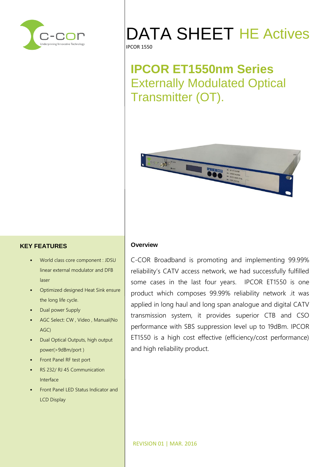

# DATA SHEET HE Actives

#### IPCOR 1550

# **IPCOR ET1550nm Series** Externally Modulated Optical Transmitter (OT).



### **KEY FEATURES**

- World class core component : JDSU linear external modulator and DFB laser
- Optimized designed Heat Sink ensure the long life cycle.
- Dual power Supply
- AGC Select: CW , Video , Manual(No AGC)
- Dual Optical Outputs, high output power(>9dBm/port )
- Front Panel RF test port
- RS 232/ RJ 45 Communication Interface
- Front Panel LED Status Indicator and LCD Display

#### **Overview**

C-COR Broadband is promoting and implementing 99.99% reliability's CATV access network, we had successfully fulfilled some cases in the last four years. IPCOR ET1550 is one product which composes 99.99% reliability network .it was applied in long haul and long span analogue and digital CATV transmission system, it provides superior CTB and CSO performance with SBS suppression level up to 19dBm. IPCOR ET1550 is a high cost effective (efficiency/cost performance) and high reliability product.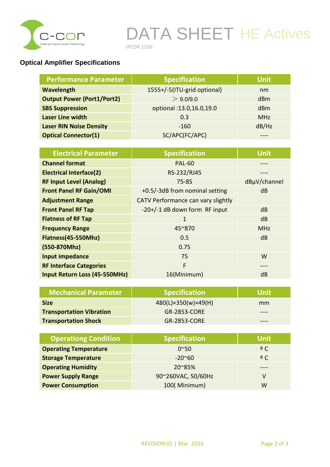

# DATA SHEET HE Actives

IPCOR 1550

## **Optical Amplifier Specifications**

| <b>Performance Parameter</b>      | <b>Specification</b>        | <b>Unit</b> |
|-----------------------------------|-----------------------------|-------------|
| <b>Wavelength</b>                 | 1555+/-5(ITU-grid optional) | nm          |
| <b>Output Power (Port1/Port2)</b> | > 9.0/9.0                   | dBm         |
| <b>SBS Suppression</b>            | optional: 13.0, 16.0, 19.0  | dBm         |
| Laser Line width                  | 0.3                         | <b>MHz</b>  |
| <b>Laser RIN Noise Density</b>    | $-160$                      | dB/Hz       |
| <b>Optical Connector(1)</b>       | SC/APC(FC/APC)              |             |

| <b>Electrical Parameter</b>    | <b>Specification</b>               | Unit,        |
|--------------------------------|------------------------------------|--------------|
| <b>Channel format</b>          | <b>PAL-60</b>                      |              |
| <b>Electrical Interface(2)</b> | RS-232/RJ45                        |              |
| <b>RF Input Level (Analog)</b> | $75 - 85$                          | dBµV/channel |
| <b>Front Panel RF Gain/OMI</b> | +0.5/-3dB from nominal setting     | dB           |
| <b>Adjustment Range</b>        | CATV Performance can vary slightly |              |
| <b>Front Panel RF Tap</b>      | -20+/-1 dB down form RF input      | dB           |
| <b>Flatness of RF Tap</b>      | 1                                  | dB           |
| <b>Frequency Range</b>         | $45^{\circ}870$                    | <b>MHz</b>   |
| Flatness(45-550Mhz)            | 0.5                                | dB           |
| (550-870Mhz)                   | 0.75                               |              |
| <b>Input impedance</b>         | 75                                 | W            |
| <b>RF Interface Categories</b> | F                                  |              |
| Input Return Loss (45-550MHz)  | 16(Minimum)                        | dB           |

| <b>Mechanical Parameter</b>     | <b>Specification</b> | <b>Unit</b> |
|---------------------------------|----------------------|-------------|
| <b>Size</b>                     | 480(L)×350(w)×49(H)  | mm          |
| <b>Transportation Vibration</b> | <b>GR-2853-CORE</b>  |             |
| <b>Transportation Shock</b>     | <b>GR-2853-CORE</b>  |             |

| <b>Operationg Condition</b>  | <b>Specification</b> | <b>Unit</b> |
|------------------------------|----------------------|-------------|
| <b>Operating Temperature</b> | $0^{\sim}50$         | $9^\circ$   |
| <b>Storage Temperature</b>   | $-20^{\circ}60$      | $9^\circ$   |
| <b>Operating Humidity</b>    | 20~85%               |             |
| <b>Power Supply Range</b>    | 90~260VAC, 50/60Hz   |             |
| <b>Power Consumption</b>     | 100(Minimum)         | W           |